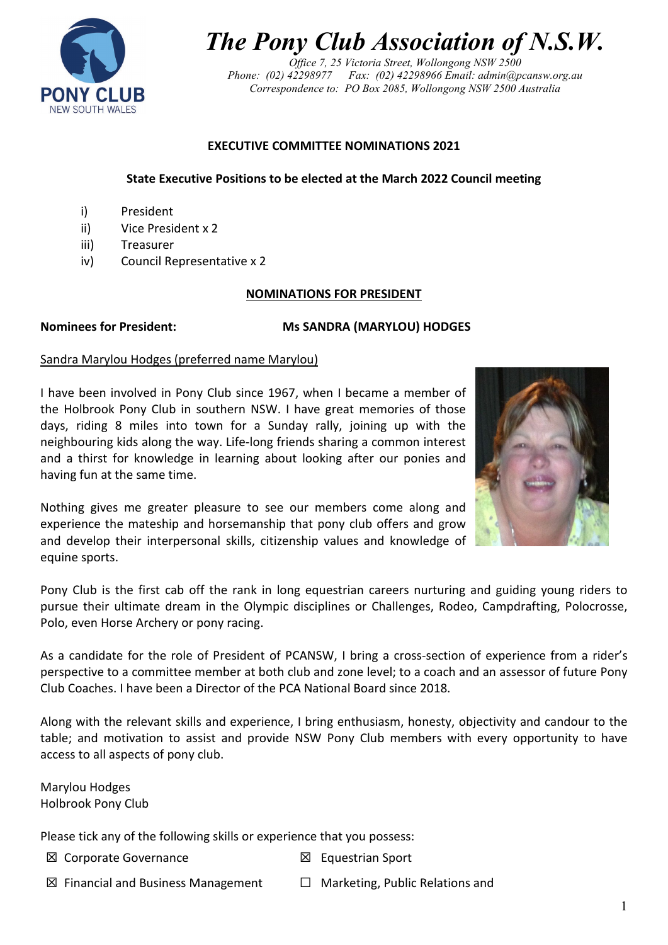

*The Pony Club Association of N.S.W.*

*Office 7, 25 Victoria Street, Wollongong NSW 2500 Phone: (02) 42298977 Fax: (02) 42298966 Email: admin@pcansw.org.au Correspondence to: PO Box 2085, Wollongong NSW 2500 Australia*

## **EXECUTIVE COMMITTEE NOMINATIONS 2021**

## **State Executive Positions to be elected at the March 2022 Council meeting**

- i) President
- ii) Vice President x 2
- iii) Treasurer
- iv) Council Representative x 2

## **NOMINATIONS FOR PRESIDENT**

#### **Nominees for President: Ms SANDRA (MARYLOU) HODGES**

#### Sandra Marylou Hodges (preferred name Marylou)

I have been involved in Pony Club since 1967, when I became a member of the Holbrook Pony Club in southern NSW. I have great memories of those days, riding 8 miles into town for a Sunday rally, joining up with the neighbouring kids along the way. Life-long friends sharing a common interest and a thirst for knowledge in learning about looking after our ponies and having fun at the same time.

Nothing gives me greater pleasure to see our members come along and experience the mateship and horsemanship that pony club offers and grow and develop their interpersonal skills, citizenship values and knowledge of equine sports.



Pony Club is the first cab off the rank in long equestrian careers nurturing and guiding young riders to pursue their ultimate dream in the Olympic disciplines or Challenges, Rodeo, Campdrafting, Polocrosse, Polo, even Horse Archery or pony racing.

As a candidate for the role of President of PCANSW, I bring a cross-section of experience from a rider's perspective to a committee member at both club and zone level; to a coach and an assessor of future Pony Club Coaches. I have been a Director of the PCA National Board since 2018.

Along with the relevant skills and experience, I bring enthusiasm, honesty, objectivity and candour to the table; and motivation to assist and provide NSW Pony Club members with every opportunity to have access to all aspects of pony club.

Marylou Hodges Holbrook Pony Club

Please tick any of the following skills or experience that you possess:

- **⊠** Corporate Governance **Ⅰ** △ Equestrian Sport
- 
- ☒ Financial and Business Management ☐ Marketing, Public Relations and
-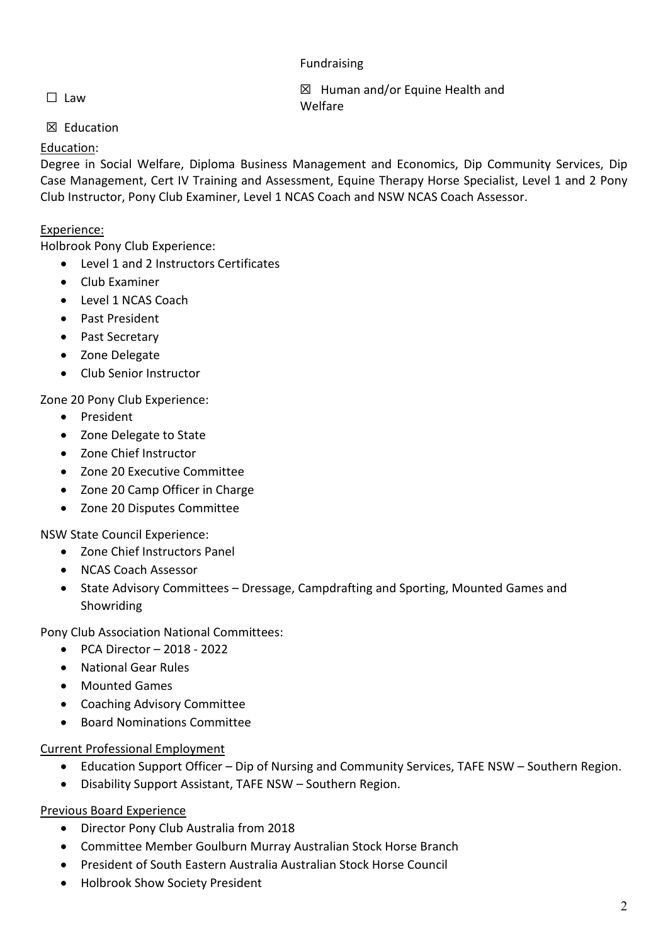# Fundraising

☐ Law ☒ Human and/or Equine Health and Welfare

# ☒ Education

# Education:

Degree in Social Welfare, Diploma Business Management and Economics, Dip Community Services, Dip Case Management, Cert IV Training and Assessment, Equine Therapy Horse Specialist, Level 1 and 2 Pony Club Instructor, Pony Club Examiner, Level 1 NCAS Coach and NSW NCAS Coach Assessor.

# Experience:

Holbrook Pony Club Experience:

- Level 1 and 2 Instructors Certificates
- Club Examiner
- Level 1 NCAS Coach
- Past President
- Past Secretary
- Zone Delegate
- Club Senior Instructor

Zone 20 Pony Club Experience:

- President
- Zone Delegate to State
- Zone Chief Instructor
- Zone 20 Executive Committee
- Zone 20 Camp Officer in Charge
- Zone 20 Disputes Committee

NSW State Council Experience:

- Zone Chief Instructors Panel
- NCAS Coach Assessor
- State Advisory Committees Dressage, Campdrafting and Sporting, Mounted Games and Showriding

Pony Club Association National Committees:

- PCA Director 2018 2022
- National Gear Rules
- Mounted Games
- Coaching Advisory Committee
- Board Nominations Committee

Current Professional Employment

- Education Support Officer Dip of Nursing and Community Services, TAFE NSW Southern Region.
- Disability Support Assistant, TAFE NSW Southern Region.

# Previous Board Experience

- Director Pony Club Australia from 2018
- Committee Member Goulburn Murray Australian Stock Horse Branch
- President of South Eastern Australia Australian Stock Horse Council
- Holbrook Show Society President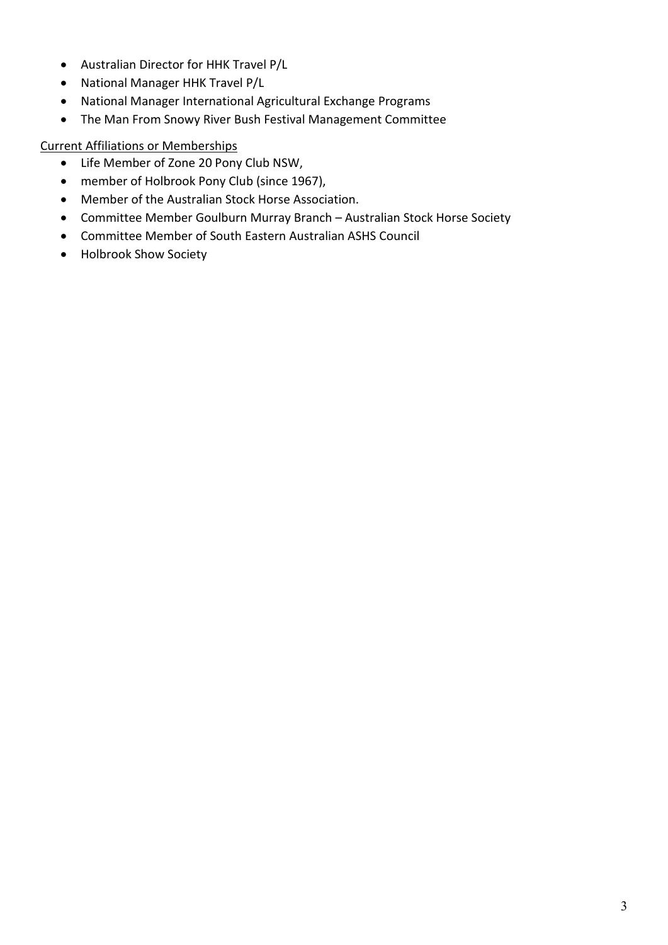- Australian Director for HHK Travel P/L
- National Manager HHK Travel P/L
- National Manager International Agricultural Exchange Programs
- The Man From Snowy River Bush Festival Management Committee

# Current Affiliations or Memberships

- Life Member of Zone 20 Pony Club NSW,
- member of Holbrook Pony Club (since 1967),
- Member of the Australian Stock Horse Association.
- Committee Member Goulburn Murray Branch Australian Stock Horse Society
- Committee Member of South Eastern Australian ASHS Council
- Holbrook Show Society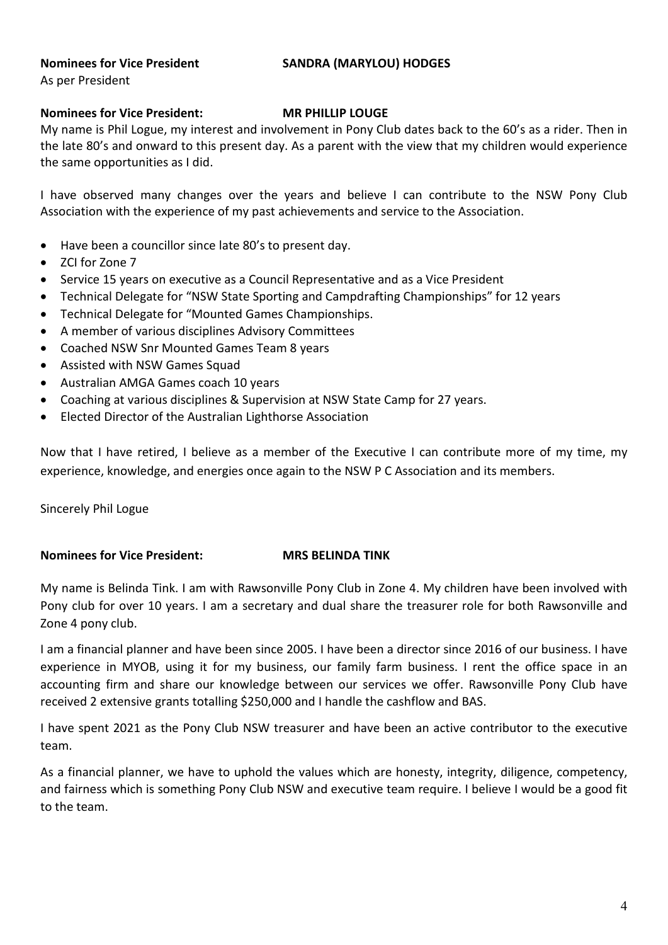# **Nominees for Vice President SANDRA (MARYLOU) HODGES**

# **Nominees for Vice President: MR PHILLIP LOUGE**

My name is Phil Logue, my interest and involvement in Pony Club dates back to the 60's as a rider. Then in the late 80's and onward to this present day. As a parent with the view that my children would experience the same opportunities as I did.

I have observed many changes over the years and believe I can contribute to the NSW Pony Club Association with the experience of my past achievements and service to the Association.

- Have been a councillor since late 80's to present day.
- ZCI for Zone 7
- Service 15 years on executive as a Council Representative and as a Vice President
- Technical Delegate for "NSW State Sporting and Campdrafting Championships" for 12 years
- Technical Delegate for "Mounted Games Championships.
- A member of various disciplines Advisory Committees
- Coached NSW Snr Mounted Games Team 8 years
- Assisted with NSW Games Squad
- Australian AMGA Games coach 10 years
- Coaching at various disciplines & Supervision at NSW State Camp for 27 years.
- Elected Director of the Australian Lighthorse Association

Now that I have retired, I believe as a member of the Executive I can contribute more of my time, my experience, knowledge, and energies once again to the NSW P C Association and its members.

Sincerely Phil Logue

# **Nominees for Vice President: MRS BELINDA TINK**

My name is Belinda Tink. I am with Rawsonville Pony Club in Zone 4. My children have been involved with Pony club for over 10 years. I am a secretary and dual share the treasurer role for both Rawsonville and Zone 4 pony club.

I am a financial planner and have been since 2005. I have been a director since 2016 of our business. I have experience in MYOB, using it for my business, our family farm business. I rent the office space in an accounting firm and share our knowledge between our services we offer. Rawsonville Pony Club have received 2 extensive grants totalling \$250,000 and I handle the cashflow and BAS.

I have spent 2021 as the Pony Club NSW treasurer and have been an active contributor to the executive team.

As a financial planner, we have to uphold the values which are honesty, integrity, diligence, competency, and fairness which is something Pony Club NSW and executive team require. I believe I would be a good fit to the team.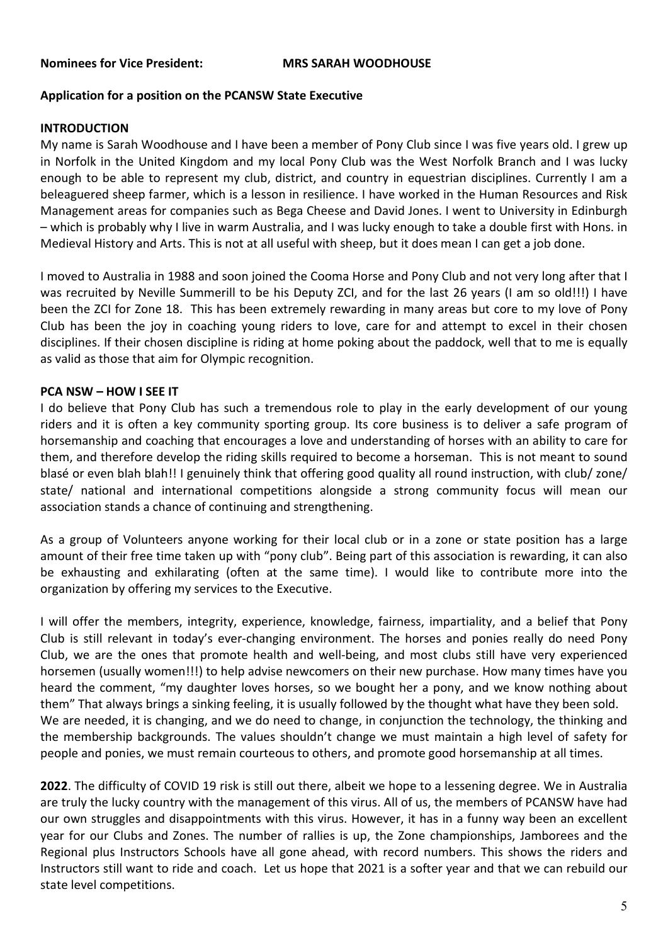## **Application for a position on the PCANSW State Executive**

#### **INTRODUCTION**

My name is Sarah Woodhouse and I have been a member of Pony Club since I was five years old. I grew up in Norfolk in the United Kingdom and my local Pony Club was the West Norfolk Branch and I was lucky enough to be able to represent my club, district, and country in equestrian disciplines. Currently I am a beleaguered sheep farmer, which is a lesson in resilience. I have worked in the Human Resources and Risk Management areas for companies such as Bega Cheese and David Jones. I went to University in Edinburgh – which is probably why I live in warm Australia, and I was lucky enough to take a double first with Hons. in Medieval History and Arts. This is not at all useful with sheep, but it does mean I can get a job done.

I moved to Australia in 1988 and soon joined the Cooma Horse and Pony Club and not very long after that I was recruited by Neville Summerill to be his Deputy ZCI, and for the last 26 years (I am so old!!!) I have been the ZCI for Zone 18. This has been extremely rewarding in many areas but core to my love of Pony Club has been the joy in coaching young riders to love, care for and attempt to excel in their chosen disciplines. If their chosen discipline is riding at home poking about the paddock, well that to me is equally as valid as those that aim for Olympic recognition.

#### **PCA NSW – HOW I SEE IT**

I do believe that Pony Club has such a tremendous role to play in the early development of our young riders and it is often a key community sporting group. Its core business is to deliver a safe program of horsemanship and coaching that encourages a love and understanding of horses with an ability to care for them, and therefore develop the riding skills required to become a horseman. This is not meant to sound blasé or even blah blah!! I genuinely think that offering good quality all round instruction, with club/ zone/ state/ national and international competitions alongside a strong community focus will mean our association stands a chance of continuing and strengthening.

As a group of Volunteers anyone working for their local club or in a zone or state position has a large amount of their free time taken up with "pony club". Being part of this association is rewarding, it can also be exhausting and exhilarating (often at the same time). I would like to contribute more into the organization by offering my services to the Executive.

I will offer the members, integrity, experience, knowledge, fairness, impartiality, and a belief that Pony Club is still relevant in today's ever-changing environment. The horses and ponies really do need Pony Club, we are the ones that promote health and well-being, and most clubs still have very experienced horsemen (usually women!!!) to help advise newcomers on their new purchase. How many times have you heard the comment, "my daughter loves horses, so we bought her a pony, and we know nothing about them" That always brings a sinking feeling, it is usually followed by the thought what have they been sold. We are needed, it is changing, and we do need to change, in conjunction the technology, the thinking and the membership backgrounds. The values shouldn't change we must maintain a high level of safety for people and ponies, we must remain courteous to others, and promote good horsemanship at all times.

**2022**. The difficulty of COVID 19 risk is still out there, albeit we hope to a lessening degree. We in Australia are truly the lucky country with the management of this virus. All of us, the members of PCANSW have had our own struggles and disappointments with this virus. However, it has in a funny way been an excellent year for our Clubs and Zones. The number of rallies is up, the Zone championships, Jamborees and the Regional plus Instructors Schools have all gone ahead, with record numbers. This shows the riders and Instructors still want to ride and coach. Let us hope that 2021 is a softer year and that we can rebuild our state level competitions.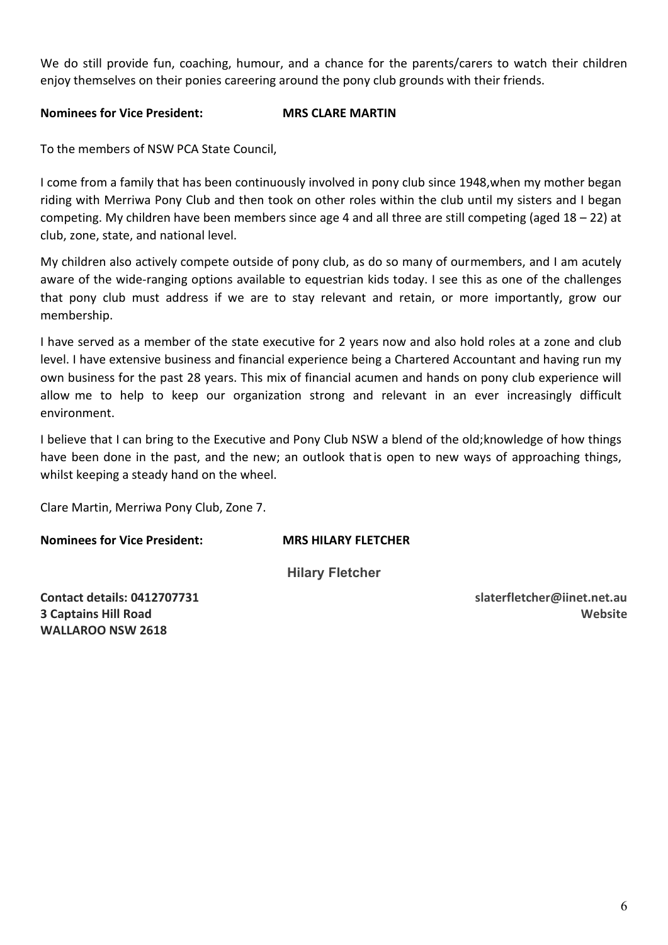We do still provide fun, coaching, humour, and a chance for the parents/carers to watch their children enjoy themselves on their ponies careering around the pony club grounds with their friends.

# **Nominees for Vice President: MRS CLARE MARTIN**

To the members of NSW PCA State Council,

I come from a family that has been continuously involved in pony club since 1948,when my mother began riding with Merriwa Pony Club and then took on other roles within the club until my sisters and I began competing. My children have been members since age 4 and all three are still competing (aged 18 – 22) at club, zone, state, and national level.

My children also actively compete outside of pony club, as do so many of ourmembers, and I am acutely aware of the wide-ranging options available to equestrian kids today. I see this as one of the challenges that pony club must address if we are to stay relevant and retain, or more importantly, grow our membership.

I have served as a member of the state executive for 2 years now and also hold roles at a zone and club level. I have extensive business and financial experience being a Chartered Accountant and having run my own business for the past 28 years. This mix of financial acumen and hands on pony club experience will allow me to help to keep our organization strong and relevant in an ever increasingly difficult environment.

I believe that I can bring to the Executive and Pony Club NSW a blend of the old;knowledge of how things have been done in the past, and the new; an outlook thatis open to new ways of approaching things, whilst keeping a steady hand on the wheel.

Clare Martin, Merriwa Pony Club, Zone 7.

**Nominees for Vice President: MRS HILARY FLETCHER**

**Hilary Fletcher**

**Contact details: 0412707731 3 Captains Hill Road WALLAROO NSW 2618**

**slaterfletcher@iinet.net.au Website**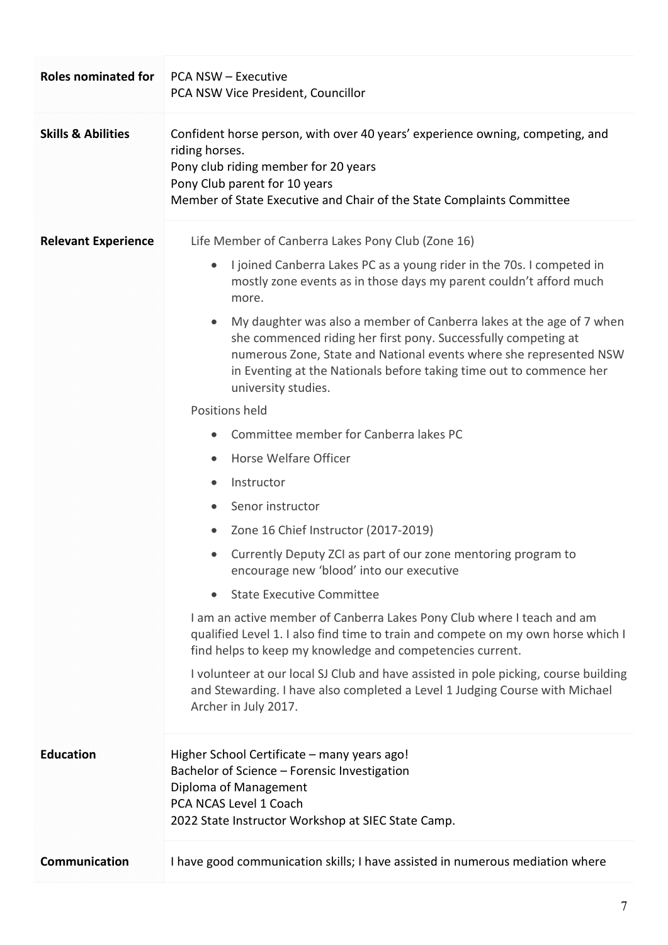| <b>Roles nominated for</b>    | <b>PCA NSW - Executive</b><br>PCA NSW Vice President, Councillor                                                                                                                                                                                                                                                                                                                                                                                                                                                                                                                                                                                                                                                                                                                                                                                                                                                                                                                                                                                                                                                                                                                                                                                                                                                                               |  |  |
|-------------------------------|------------------------------------------------------------------------------------------------------------------------------------------------------------------------------------------------------------------------------------------------------------------------------------------------------------------------------------------------------------------------------------------------------------------------------------------------------------------------------------------------------------------------------------------------------------------------------------------------------------------------------------------------------------------------------------------------------------------------------------------------------------------------------------------------------------------------------------------------------------------------------------------------------------------------------------------------------------------------------------------------------------------------------------------------------------------------------------------------------------------------------------------------------------------------------------------------------------------------------------------------------------------------------------------------------------------------------------------------|--|--|
| <b>Skills &amp; Abilities</b> | Confident horse person, with over 40 years' experience owning, competing, and<br>riding horses.<br>Pony club riding member for 20 years<br>Pony Club parent for 10 years<br>Member of State Executive and Chair of the State Complaints Committee                                                                                                                                                                                                                                                                                                                                                                                                                                                                                                                                                                                                                                                                                                                                                                                                                                                                                                                                                                                                                                                                                              |  |  |
| <b>Relevant Experience</b>    | Life Member of Canberra Lakes Pony Club (Zone 16)<br>I joined Canberra Lakes PC as a young rider in the 70s. I competed in<br>$\bullet$<br>mostly zone events as in those days my parent couldn't afford much<br>more.<br>My daughter was also a member of Canberra lakes at the age of 7 when<br>$\bullet$<br>she commenced riding her first pony. Successfully competing at<br>numerous Zone, State and National events where she represented NSW<br>in Eventing at the Nationals before taking time out to commence her<br>university studies.<br>Positions held<br>Committee member for Canberra lakes PC<br>Horse Welfare Officer<br>$\bullet$<br>Instructor<br>$\bullet$<br>Senor instructor<br>$\bullet$<br>Zone 16 Chief Instructor (2017-2019)<br>Currently Deputy ZCI as part of our zone mentoring program to<br>encourage new 'blood' into our executive<br><b>State Executive Committee</b><br>$\bullet$<br>I am an active member of Canberra Lakes Pony Club where I teach and am<br>qualified Level 1. I also find time to train and compete on my own horse which I<br>find helps to keep my knowledge and competencies current.<br>I volunteer at our local SJ Club and have assisted in pole picking, course building<br>and Stewarding. I have also completed a Level 1 Judging Course with Michael<br>Archer in July 2017. |  |  |
| <b>Education</b>              | Higher School Certificate - many years ago!<br>Bachelor of Science - Forensic Investigation<br>Diploma of Management<br>PCA NCAS Level 1 Coach<br>2022 State Instructor Workshop at SIEC State Camp.                                                                                                                                                                                                                                                                                                                                                                                                                                                                                                                                                                                                                                                                                                                                                                                                                                                                                                                                                                                                                                                                                                                                           |  |  |
| Communication                 | I have good communication skills; I have assisted in numerous mediation where                                                                                                                                                                                                                                                                                                                                                                                                                                                                                                                                                                                                                                                                                                                                                                                                                                                                                                                                                                                                                                                                                                                                                                                                                                                                  |  |  |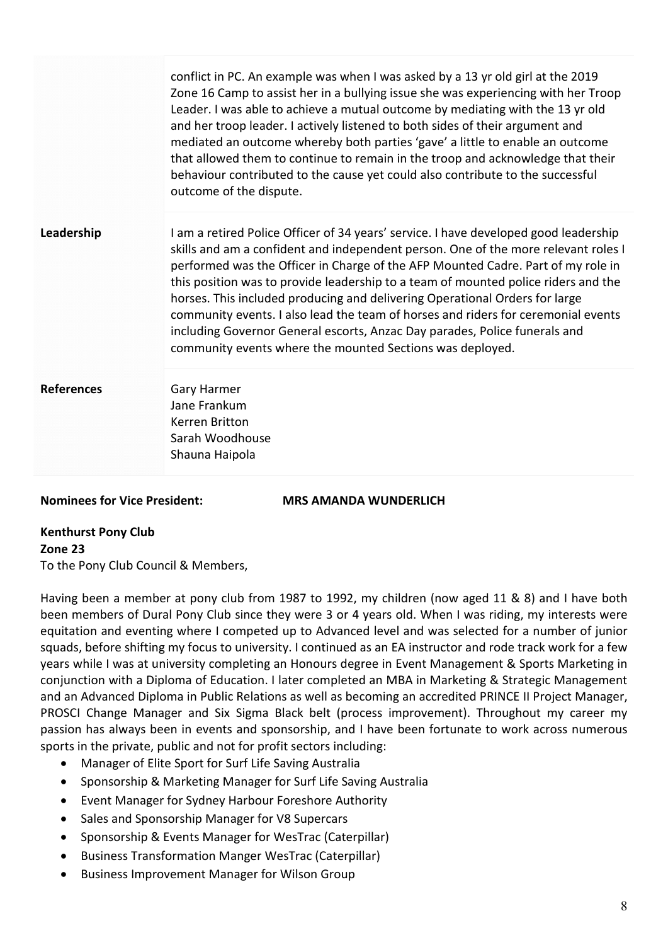|                   | conflict in PC. An example was when I was asked by a 13 yr old girl at the 2019<br>Zone 16 Camp to assist her in a bullying issue she was experiencing with her Troop<br>Leader. I was able to achieve a mutual outcome by mediating with the 13 yr old<br>and her troop leader. I actively listened to both sides of their argument and<br>mediated an outcome whereby both parties 'gave' a little to enable an outcome<br>that allowed them to continue to remain in the troop and acknowledge that their<br>behaviour contributed to the cause yet could also contribute to the successful<br>outcome of the dispute.                                           |
|-------------------|---------------------------------------------------------------------------------------------------------------------------------------------------------------------------------------------------------------------------------------------------------------------------------------------------------------------------------------------------------------------------------------------------------------------------------------------------------------------------------------------------------------------------------------------------------------------------------------------------------------------------------------------------------------------|
| Leadership        | I am a retired Police Officer of 34 years' service. I have developed good leadership<br>skills and am a confident and independent person. One of the more relevant roles I<br>performed was the Officer in Charge of the AFP Mounted Cadre. Part of my role in<br>this position was to provide leadership to a team of mounted police riders and the<br>horses. This included producing and delivering Operational Orders for large<br>community events. I also lead the team of horses and riders for ceremonial events<br>including Governor General escorts, Anzac Day parades, Police funerals and<br>community events where the mounted Sections was deployed. |
| <b>References</b> | Gary Harmer<br>Jane Frankum<br>Kerren Britton<br>Sarah Woodhouse<br>Shauna Haipola                                                                                                                                                                                                                                                                                                                                                                                                                                                                                                                                                                                  |

**Nominees for Vice President: MRS AMANDA WUNDERLICH**

# **Kenthurst Pony Club Zone 23** To the Pony Club Council & Members,

Having been a member at pony club from 1987 to 1992, my children (now aged 11 & 8) and I have both been members of Dural Pony Club since they were 3 or 4 years old. When I was riding, my interests were equitation and eventing where I competed up to Advanced level and was selected for a number of junior squads, before shifting my focus to university. I continued as an EA instructor and rode track work for a few years while I was at university completing an Honours degree in Event Management & Sports Marketing in conjunction with a Diploma of Education. I later completed an MBA in Marketing & Strategic Management and an Advanced Diploma in Public Relations as well as becoming an accredited PRINCE II Project Manager, PROSCI Change Manager and Six Sigma Black belt (process improvement). Throughout my career my passion has always been in events and sponsorship, and I have been fortunate to work across numerous sports in the private, public and not for profit sectors including:

- Manager of Elite Sport for Surf Life Saving Australia
- Sponsorship & Marketing Manager for Surf Life Saving Australia
- Event Manager for Sydney Harbour Foreshore Authority
- Sales and Sponsorship Manager for V8 Supercars
- Sponsorship & Events Manager for WesTrac (Caterpillar)
- Business Transformation Manger WesTrac (Caterpillar)
- Business Improvement Manager for Wilson Group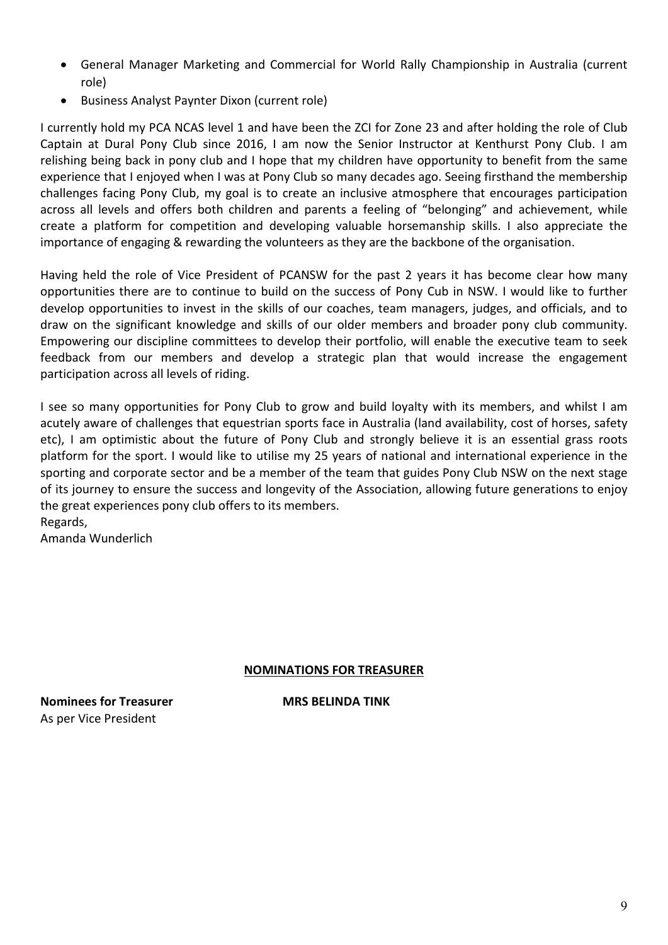- General Manager Marketing and Commercial for World Rally Championship in Australia (current role)
- Business Analyst Paynter Dixon (current role)

I currently hold my PCA NCAS level 1 and have been the ZCI for Zone 23 and after holding the role of Club Captain at Dural Pony Club since 2016, I am now the Senior Instructor at Kenthurst Pony Club. I am relishing being back in pony club and I hope that my children have opportunity to benefit from the same experience that I enjoyed when I was at Pony Club so many decades ago. Seeing firsthand the membership challenges facing Pony Club, my goal is to create an inclusive atmosphere that encourages participation across all levels and offers both children and parents a feeling of "belonging" and achievement, while create a platform for competition and developing valuable horsemanship skills. I also appreciate the importance of engaging & rewarding the volunteers as they are the backbone of the organisation.

Having held the role of Vice President of PCANSW for the past 2 years it has become clear how many opportunities there are to continue to build on the success of Pony Cub in NSW. I would like to further develop opportunities to invest in the skills of our coaches, team managers, judges, and officials, and to draw on the significant knowledge and skills of our older members and broader pony club community. Empowering our discipline committees to develop their portfolio, will enable the executive team to seek feedback from our members and develop a strategic plan that would increase the engagement participation across all levels of riding.

I see so many opportunities for Pony Club to grow and build loyalty with its members, and whilst I am acutely aware of challenges that equestrian sports face in Australia (land availability, cost of horses, safety etc), I am optimistic about the future of Pony Club and strongly believe it is an essential grass roots platform for the sport. I would like to utilise my 25 years of national and international experience in the sporting and corporate sector and be a member of the team that guides Pony Club NSW on the next stage of its journey to ensure the success and longevity of the Association, allowing future generations to enjoy the great experiences pony club offers to its members. Regards,

Amanda Wunderlich

# **NOMINATIONS FOR TREASURER**

**Nominees for Treasurer MRS BELINDA TINK** As per Vice President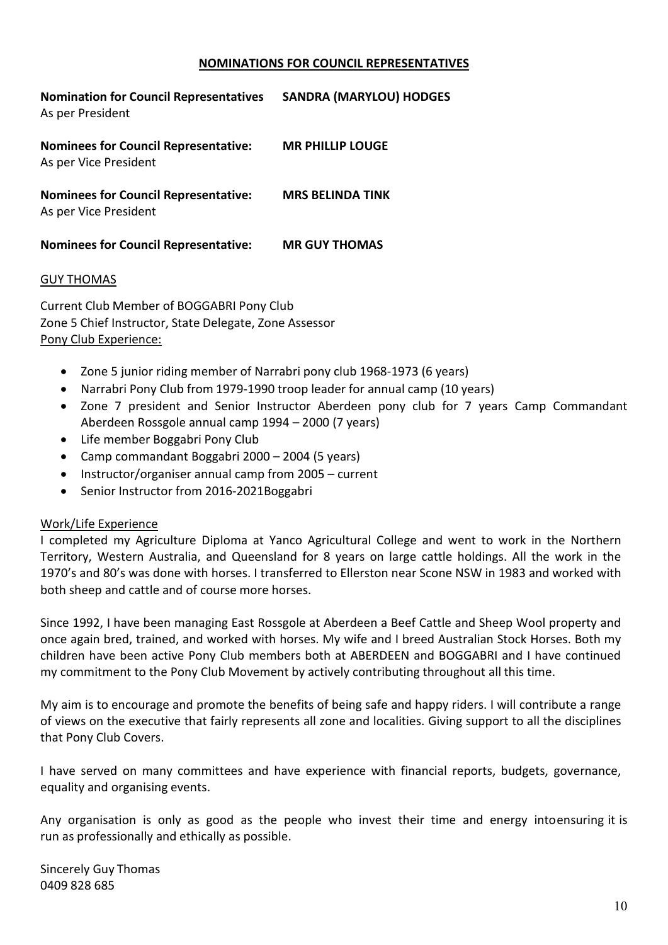#### **NOMINATIONS FOR COUNCIL REPRESENTATIVES**

| <b>Nomination for Council Representatives</b><br>As per President    | <b>SANDRA (MARYLOU) HODGES</b> |
|----------------------------------------------------------------------|--------------------------------|
| <b>Nominees for Council Representative:</b><br>As per Vice President | <b>MR PHILLIP LOUGE</b>        |
| <b>Nominees for Council Representative:</b><br>As per Vice President | <b>MRS BELINDA TINK</b>        |
| <b>Nominees for Council Representative:</b>                          | <b>MR GUY THOMAS</b>           |

#### GUY THOMAS

Current Club Member of BOGGABRI Pony Club Zone 5 Chief Instructor, State Delegate, Zone Assessor Pony Club Experience:

- Zone 5 junior riding member of Narrabri pony club 1968-1973 (6 years)
- Narrabri Pony Club from 1979-1990 troop leader for annual camp (10 years)
- Zone 7 president and Senior Instructor Aberdeen pony club for 7 years Camp Commandant Aberdeen Rossgole annual camp 1994 – 2000 (7 years)
- Life member Boggabri Pony Club
- Camp commandant Boggabri 2000 2004 (5 years)
- Instructor/organiser annual camp from 2005 current
- Senior Instructor from 2016-2021Boggabri

#### Work/Life Experience

I completed my Agriculture Diploma at Yanco Agricultural College and went to work in the Northern Territory, Western Australia, and Queensland for 8 years on large cattle holdings. All the work in the 1970's and 80's was done with horses. I transferred to Ellerston near Scone NSW in 1983 and worked with both sheep and cattle and of course more horses.

Since 1992, I have been managing East Rossgole at Aberdeen a Beef Cattle and Sheep Wool property and once again bred, trained, and worked with horses. My wife and I breed Australian Stock Horses. Both my children have been active Pony Club members both at ABERDEEN and BOGGABRI and I have continued my commitment to the Pony Club Movement by actively contributing throughout all this time.

My aim is to encourage and promote the benefits of being safe and happy riders. I will contribute a range of views on the executive that fairly represents all zone and localities. Giving support to all the disciplines that Pony Club Covers.

I have served on many committees and have experience with financial reports, budgets, governance, equality and organising events.

Any organisation is only as good as the people who invest their time and energy intoensuring it is run as professionally and ethically as possible.

Sincerely Guy Thomas 0409 828 685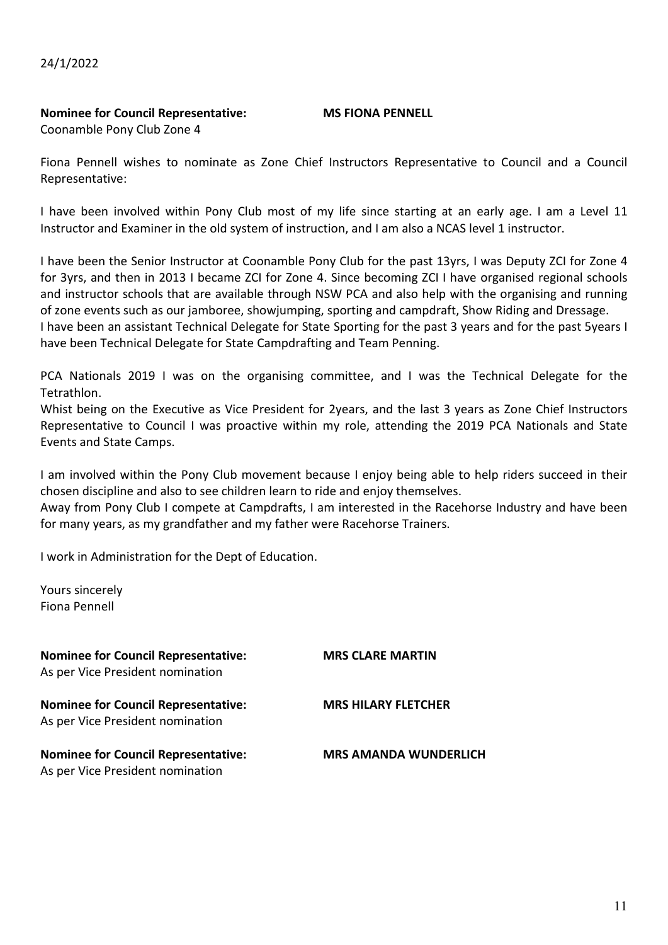24/1/2022

#### **Nominee for Council Representative: MS FIONA PENNELL**

Coonamble Pony Club Zone 4

Fiona Pennell wishes to nominate as Zone Chief Instructors Representative to Council and a Council Representative:

I have been involved within Pony Club most of my life since starting at an early age. I am a Level 11 Instructor and Examiner in the old system of instruction, and I am also a NCAS level 1 instructor.

I have been the Senior Instructor at Coonamble Pony Club for the past 13yrs, I was Deputy ZCI for Zone 4 for 3yrs, and then in 2013 I became ZCI for Zone 4. Since becoming ZCI I have organised regional schools and instructor schools that are available through NSW PCA and also help with the organising and running of zone events such as our jamboree, showjumping, sporting and campdraft, Show Riding and Dressage. I have been an assistant Technical Delegate for State Sporting for the past 3 years and for the past 5years I have been Technical Delegate for State Campdrafting and Team Penning.

PCA Nationals 2019 I was on the organising committee, and I was the Technical Delegate for the Tetrathlon.

Whist being on the Executive as Vice President for 2years, and the last 3 years as Zone Chief Instructors Representative to Council I was proactive within my role, attending the 2019 PCA Nationals and State Events and State Camps.

I am involved within the Pony Club movement because I enjoy being able to help riders succeed in their chosen discipline and also to see children learn to ride and enjoy themselves.

Away from Pony Club I compete at Campdrafts, I am interested in the Racehorse Industry and have been for many years, as my grandfather and my father were Racehorse Trainers.

I work in Administration for the Dept of Education.

Yours sincerely Fiona Pennell

| <b>Nominee for Council Representative:</b><br>As per Vice President nomination | <b>MRS CLARE MARTIN</b>      |
|--------------------------------------------------------------------------------|------------------------------|
| <b>Nominee for Council Representative:</b><br>As per Vice President nomination | <b>MRS HILARY FLETCHER</b>   |
| <b>Nominee for Council Representative:</b><br>As per Vice President nomination | <b>MRS AMANDA WUNDERLICH</b> |